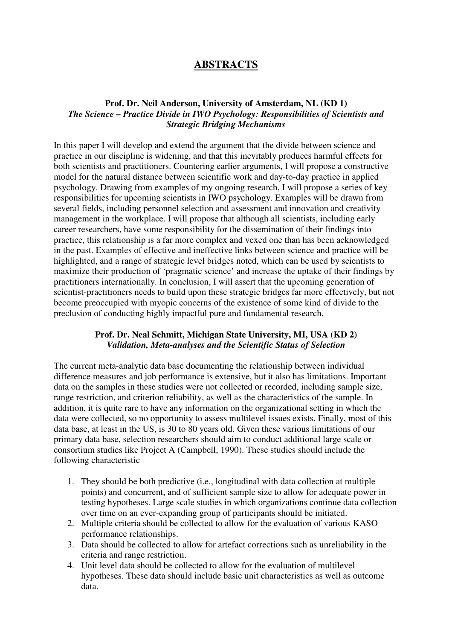# **ABSTRACTS**

### **Prof. Dr. Neil Anderson, University of Amsterdam, NL (KD 1)** *The Science – Practice Divide in IWO Psychology: Responsibilities of Scientists and Strategic Bridging Mechanisms*

In this paper I will develop and extend the argument that the divide between science and practice in our discipline is widening, and that this inevitably produces harmful effects for both scientists and practitioners. Countering earlier arguments, I will propose a constructive model for the natural distance between scientific work and day-to-day practice in applied psychology. Drawing from examples of my ongoing research, I will propose a series of key responsibilities for upcoming scientists in IWO psychology. Examples will be drawn from several fields, including personnel selection and assessment and innovation and creativity management in the workplace. I will propose that although all scientists, including early career researchers, have some responsibility for the dissemination of their findings into practice, this relationship is a far more complex and vexed one than has been acknowledged in the past. Examples of effective and ineffective links between science and practice will be highlighted, and a range of strategic level bridges noted, which can be used by scientists to maximize their production of 'pragmatic science' and increase the uptake of their findings by practitioners internationally. In conclusion, I will assert that the upcoming generation of scientist-practitioners needs to build upon these strategic bridges far more effectively, but not become preoccupied with myopic concerns of the existence of some kind of divide to the preclusion of conducting highly impactful pure and fundamental research.

### **Prof. Dr. Neal Schmitt, Michigan State University, MI, USA (KD 2)** *Validation, Meta-analyses and the Scientific Status of Selection*

The current meta-analytic data base documenting the relationship between individual difference measures and job performance is extensive, but it also has limitations. Important data on the samples in these studies were not collected or recorded, including sample size, range restriction, and criterion reliability, as well as the characteristics of the sample. In addition, it is quite rare to have any information on the organizational setting in which the data were collected, so no opportunity to assess multilevel issues exists. Finally, most of this data base, at least in the US, is 30 to 80 years old. Given these various limitations of our primary data base, selection researchers should aim to conduct additional large scale or consortium studies like Project A (Campbell, 1990). These studies should include the following characteristic

- 1. They should be both predictive (i.e., longitudinal with data collection at multiple points) and concurrent, and of sufficient sample size to allow for adequate power in testing hypotheses. Large scale studies in which organizations continue data collection over time on an ever-expanding group of participants should be initiated.
- 2. Multiple criteria should be collected to allow for the evaluation of various KASO performance relationships.
- 3. Data should be collected to allow for artefact corrections such as unreliability in the criteria and range restriction.
- 4. Unit level data should be collected to allow for the evaluation of multilevel hypotheses. These data should include basic unit characteristics as well as outcome data.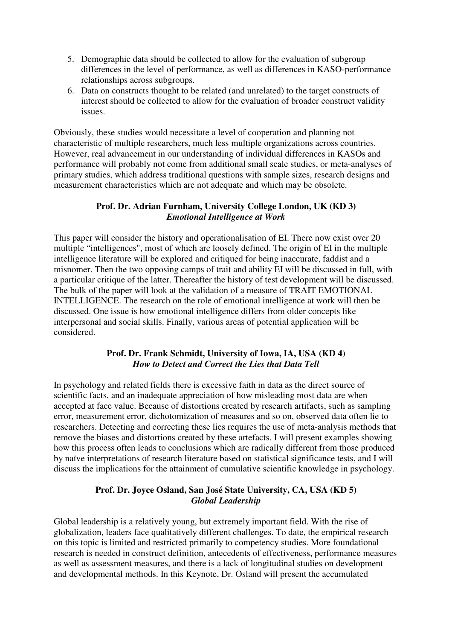- 5. Demographic data should be collected to allow for the evaluation of subgroup differences in the level of performance, as well as differences in KASO-performance relationships across subgroups.
- 6. Data on constructs thought to be related (and unrelated) to the target constructs of interest should be collected to allow for the evaluation of broader construct validity issues.

Obviously, these studies would necessitate a level of cooperation and planning not characteristic of multiple researchers, much less multiple organizations across countries. However, real advancement in our understanding of individual differences in KASOs and performance will probably not come from additional small scale studies, or meta-analyses of primary studies, which address traditional questions with sample sizes, research designs and measurement characteristics which are not adequate and which may be obsolete.

### **Prof. Dr. Adrian Furnham, University College London, UK (KD 3)**  *Emotional Intelligence at Work*

This paper will consider the history and operationalisation of EI. There now exist over 20 multiple "intelligences", most of which are loosely defined. The origin of EI in the multiple intelligence literature will be explored and critiqued for being inaccurate, faddist and a misnomer. Then the two opposing camps of trait and ability EI will be discussed in full, with a particular critique of the latter. Thereafter the history of test development will be discussed. The bulk of the paper will look at the validation of a measure of TRAIT EMOTIONAL INTELLIGENCE. The research on the role of emotional intelligence at work will then be discussed. One issue is how emotional intelligence differs from older concepts like interpersonal and social skills. Finally, various areas of potential application will be considered.

### **Prof. Dr. Frank Schmidt, University of Iowa, IA, USA (KD 4)**  *How to Detect and Correct the Lies that Data Tell*

In psychology and related fields there is excessive faith in data as the direct source of scientific facts, and an inadequate appreciation of how misleading most data are when accepted at face value. Because of distortions created by research artifacts, such as sampling error, measurement error, dichotomization of measures and so on, observed data often lie to researchers. Detecting and correcting these lies requires the use of meta-analysis methods that remove the biases and distortions created by these artefacts. I will present examples showing how this process often leads to conclusions which are radically different from those produced by naïve interpretations of research literature based on statistical significance tests, and I will discuss the implications for the attainment of cumulative scientific knowledge in psychology.

### **Prof. Dr. Joyce Osland, San José State University, CA, USA (KD 5)** *Global Leadership*

Global leadership is a relatively young, but extremely important field. With the rise of globalization, leaders face qualitatively different challenges. To date, the empirical research on this topic is limited and restricted primarily to competency studies. More foundational research is needed in construct definition, antecedents of effectiveness, performance measures as well as assessment measures, and there is a lack of longitudinal studies on development and developmental methods. In this Keynote, Dr. Osland will present the accumulated